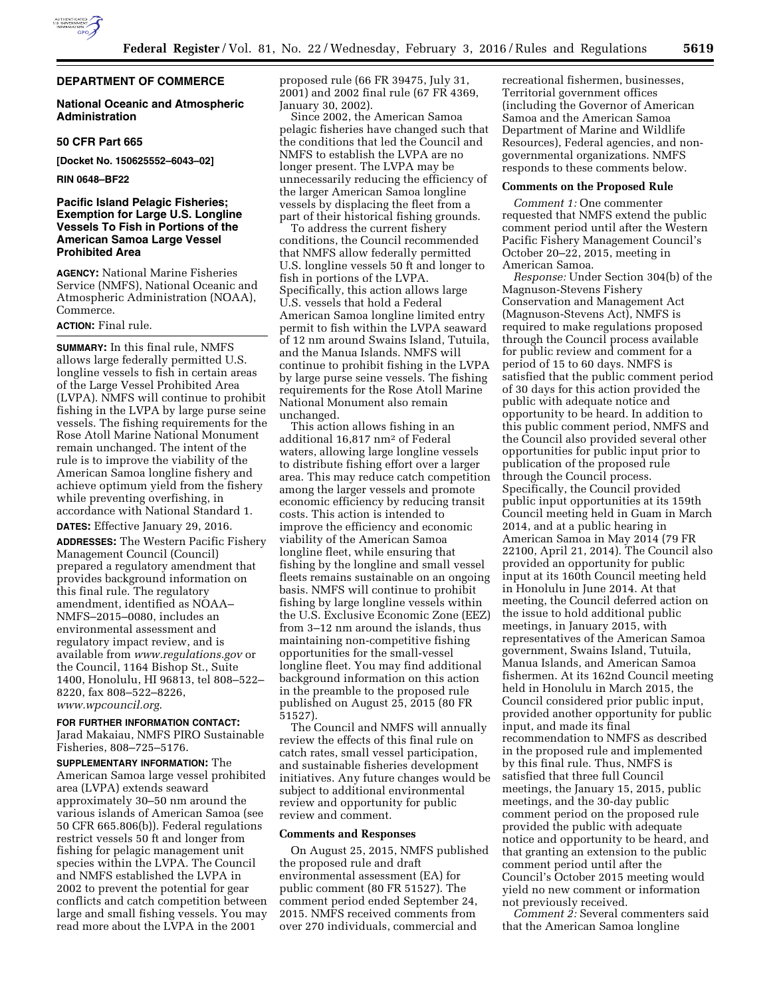

## **DEPARTMENT OF COMMERCE**

### **National Oceanic and Atmospheric Administration**

### **50 CFR Part 665**

**[Docket No. 150625552–6043–02]** 

#### **RIN 0648–BF22**

## **Pacific Island Pelagic Fisheries; Exemption for Large U.S. Longline Vessels To Fish in Portions of the American Samoa Large Vessel Prohibited Area**

**AGENCY:** National Marine Fisheries Service (NMFS), National Oceanic and Atmospheric Administration (NOAA), Commerce.

# **ACTION:** Final rule.

**SUMMARY:** In this final rule, NMFS allows large federally permitted U.S. longline vessels to fish in certain areas of the Large Vessel Prohibited Area (LVPA). NMFS will continue to prohibit fishing in the LVPA by large purse seine vessels. The fishing requirements for the Rose Atoll Marine National Monument remain unchanged. The intent of the rule is to improve the viability of the American Samoa longline fishery and achieve optimum yield from the fishery while preventing overfishing, in accordance with National Standard 1. **DATES:** Effective January 29, 2016.

**ADDRESSES:** The Western Pacific Fishery Management Council (Council) prepared a regulatory amendment that provides background information on this final rule. The regulatory

amendment, identified as NOAA– NMFS–2015–0080, includes an environmental assessment and regulatory impact review, and is available from *[www.regulations.gov](http://www.regulations.gov)* or the Council, 1164 Bishop St., Suite 1400, Honolulu, HI 96813, tel 808–522– 8220, fax 808–522–8226, *[www.wpcouncil.org](http://www.wpcouncil.org)*.

#### **FOR FURTHER INFORMATION CONTACT:**

Jarad Makaiau, NMFS PIRO Sustainable Fisheries, 808–725–5176.

**SUPPLEMENTARY INFORMATION:** The American Samoa large vessel prohibited area (LVPA) extends seaward approximately 30–50 nm around the various islands of American Samoa (see 50 CFR 665.806(b)). Federal regulations restrict vessels 50 ft and longer from fishing for pelagic management unit species within the LVPA. The Council and NMFS established the LVPA in 2002 to prevent the potential for gear conflicts and catch competition between large and small fishing vessels. You may read more about the LVPA in the 2001

proposed rule (66 FR 39475, July 31, 2001) and 2002 final rule (67 FR 4369, January 30, 2002).

Since 2002, the American Samoa pelagic fisheries have changed such that the conditions that led the Council and NMFS to establish the LVPA are no longer present. The LVPA may be unnecessarily reducing the efficiency of the larger American Samoa longline vessels by displacing the fleet from a part of their historical fishing grounds.

To address the current fishery conditions, the Council recommended that NMFS allow federally permitted U.S. longline vessels 50 ft and longer to fish in portions of the LVPA. Specifically, this action allows large U.S. vessels that hold a Federal American Samoa longline limited entry permit to fish within the LVPA seaward of 12 nm around Swains Island, Tutuila, and the Manua Islands. NMFS will continue to prohibit fishing in the LVPA by large purse seine vessels. The fishing requirements for the Rose Atoll Marine National Monument also remain unchanged.

This action allows fishing in an additional 16,817 nm2 of Federal waters, allowing large longline vessels to distribute fishing effort over a larger area. This may reduce catch competition among the larger vessels and promote economic efficiency by reducing transit costs. This action is intended to improve the efficiency and economic viability of the American Samoa longline fleet, while ensuring that fishing by the longline and small vessel fleets remains sustainable on an ongoing basis. NMFS will continue to prohibit fishing by large longline vessels within the U.S. Exclusive Economic Zone (EEZ) from 3–12 nm around the islands, thus maintaining non-competitive fishing opportunities for the small-vessel longline fleet. You may find additional background information on this action in the preamble to the proposed rule published on August 25, 2015 (80 FR 51527).

The Council and NMFS will annually review the effects of this final rule on catch rates, small vessel participation, and sustainable fisheries development initiatives. Any future changes would be subject to additional environmental review and opportunity for public review and comment.

#### **Comments and Responses**

On August 25, 2015, NMFS published the proposed rule and draft environmental assessment (EA) for public comment (80 FR 51527). The comment period ended September 24, 2015. NMFS received comments from over 270 individuals, commercial and

recreational fishermen, businesses, Territorial government offices (including the Governor of American Samoa and the American Samoa Department of Marine and Wildlife Resources), Federal agencies, and nongovernmental organizations. NMFS responds to these comments below.

### **Comments on the Proposed Rule**

*Comment 1:* One commenter requested that NMFS extend the public comment period until after the Western Pacific Fishery Management Council's October 20–22, 2015, meeting in American Samoa.

*Response:* Under Section 304(b) of the Magnuson-Stevens Fishery Conservation and Management Act (Magnuson-Stevens Act), NMFS is required to make regulations proposed through the Council process available for public review and comment for a period of 15 to 60 days. NMFS is satisfied that the public comment period of 30 days for this action provided the public with adequate notice and opportunity to be heard. In addition to this public comment period, NMFS and the Council also provided several other opportunities for public input prior to publication of the proposed rule through the Council process. Specifically, the Council provided public input opportunities at its 159th Council meeting held in Guam in March 2014, and at a public hearing in American Samoa in May 2014 (79 FR 22100, April 21, 2014). The Council also provided an opportunity for public input at its 160th Council meeting held in Honolulu in June 2014. At that meeting, the Council deferred action on the issue to hold additional public meetings, in January 2015, with representatives of the American Samoa government, Swains Island, Tutuila, Manua Islands, and American Samoa fishermen. At its 162nd Council meeting held in Honolulu in March 2015, the Council considered prior public input, provided another opportunity for public input, and made its final recommendation to NMFS as described in the proposed rule and implemented by this final rule. Thus, NMFS is satisfied that three full Council meetings, the January 15, 2015, public meetings, and the 30-day public comment period on the proposed rule provided the public with adequate notice and opportunity to be heard, and that granting an extension to the public comment period until after the Council's October 2015 meeting would yield no new comment or information not previously received.

*Comment 2:* Several commenters said that the American Samoa longline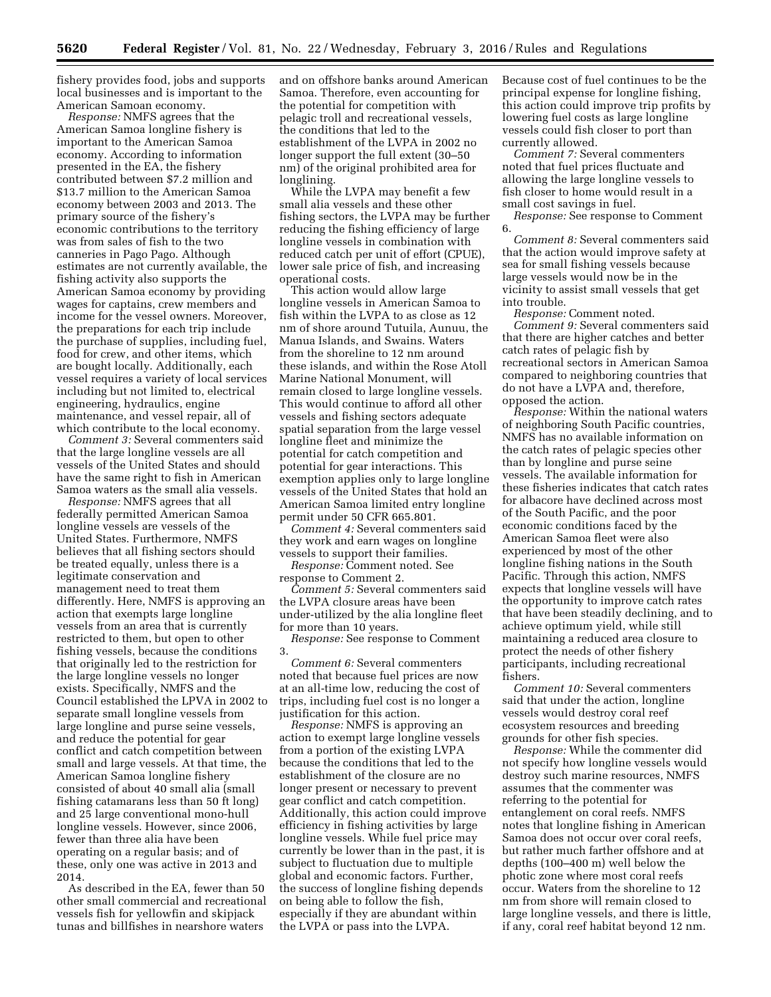fishery provides food, jobs and supports local businesses and is important to the American Samoan economy.

*Response:* NMFS agrees that the American Samoa longline fishery is important to the American Samoa economy. According to information presented in the EA, the fishery contributed between \$7.2 million and \$13.7 million to the American Samoa economy between 2003 and 2013. The primary source of the fishery's economic contributions to the territory was from sales of fish to the two canneries in Pago Pago. Although estimates are not currently available, the fishing activity also supports the American Samoa economy by providing wages for captains, crew members and income for the vessel owners. Moreover, the preparations for each trip include the purchase of supplies, including fuel, food for crew, and other items, which are bought locally. Additionally, each vessel requires a variety of local services including but not limited to, electrical engineering, hydraulics, engine maintenance, and vessel repair, all of which contribute to the local economy.

*Comment 3:* Several commenters said that the large longline vessels are all vessels of the United States and should have the same right to fish in American Samoa waters as the small alia vessels.

*Response:* NMFS agrees that all federally permitted American Samoa longline vessels are vessels of the United States. Furthermore, NMFS believes that all fishing sectors should be treated equally, unless there is a legitimate conservation and management need to treat them differently. Here, NMFS is approving an action that exempts large longline vessels from an area that is currently restricted to them, but open to other fishing vessels, because the conditions that originally led to the restriction for the large longline vessels no longer exists. Specifically, NMFS and the Council established the LPVA in 2002 to separate small longline vessels from large longline and purse seine vessels, and reduce the potential for gear conflict and catch competition between small and large vessels. At that time, the American Samoa longline fishery consisted of about 40 small alia (small fishing catamarans less than 50 ft long) and 25 large conventional mono-hull longline vessels. However, since 2006, fewer than three alia have been operating on a regular basis; and of these, only one was active in 2013 and 2014.

As described in the EA, fewer than 50 other small commercial and recreational vessels fish for yellowfin and skipjack tunas and billfishes in nearshore waters

and on offshore banks around American Samoa. Therefore, even accounting for the potential for competition with pelagic troll and recreational vessels, the conditions that led to the establishment of the LVPA in 2002 no longer support the full extent (30–50 nm) of the original prohibited area for longlining.

While the LVPA may benefit a few small alia vessels and these other fishing sectors, the LVPA may be further reducing the fishing efficiency of large longline vessels in combination with reduced catch per unit of effort (CPUE), lower sale price of fish, and increasing operational costs.

This action would allow large longline vessels in American Samoa to fish within the LVPA to as close as 12 nm of shore around Tutuila, Aunuu, the Manua Islands, and Swains. Waters from the shoreline to 12 nm around these islands, and within the Rose Atoll Marine National Monument, will remain closed to large longline vessels. This would continue to afford all other vessels and fishing sectors adequate spatial separation from the large vessel longline fleet and minimize the potential for catch competition and potential for gear interactions. This exemption applies only to large longline vessels of the United States that hold an American Samoa limited entry longline permit under 50 CFR 665.801.

*Comment 4:* Several commenters said they work and earn wages on longline vessels to support their families.

*Response:* Comment noted. See response to Comment 2.

*Comment 5:* Several commenters said the LVPA closure areas have been under-utilized by the alia longline fleet for more than 10 years.

*Response:* See response to Comment 3.

*Comment 6:* Several commenters noted that because fuel prices are now at an all-time low, reducing the cost of trips, including fuel cost is no longer a justification for this action.

*Response:* NMFS is approving an action to exempt large longline vessels from a portion of the existing LVPA because the conditions that led to the establishment of the closure are no longer present or necessary to prevent gear conflict and catch competition. Additionally, this action could improve efficiency in fishing activities by large longline vessels. While fuel price may currently be lower than in the past, it is subject to fluctuation due to multiple global and economic factors. Further, the success of longline fishing depends on being able to follow the fish, especially if they are abundant within the LVPA or pass into the LVPA.

Because cost of fuel continues to be the principal expense for longline fishing, this action could improve trip profits by lowering fuel costs as large longline vessels could fish closer to port than currently allowed.

*Comment 7:* Several commenters noted that fuel prices fluctuate and allowing the large longline vessels to fish closer to home would result in a small cost savings in fuel.

*Response:* See response to Comment 6.

*Comment 8:* Several commenters said that the action would improve safety at sea for small fishing vessels because large vessels would now be in the vicinity to assist small vessels that get into trouble.

*Response:* Comment noted. *Comment 9:* Several commenters said that there are higher catches and better catch rates of pelagic fish by recreational sectors in American Samoa compared to neighboring countries that do not have a LVPA and, therefore,

opposed the action. *Response:* Within the national waters of neighboring South Pacific countries, NMFS has no available information on the catch rates of pelagic species other than by longline and purse seine vessels. The available information for these fisheries indicates that catch rates for albacore have declined across most of the South Pacific, and the poor economic conditions faced by the American Samoa fleet were also experienced by most of the other longline fishing nations in the South Pacific. Through this action, NMFS expects that longline vessels will have the opportunity to improve catch rates that have been steadily declining, and to achieve optimum yield, while still maintaining a reduced area closure to protect the needs of other fishery participants, including recreational fishers.

*Comment 10:* Several commenters said that under the action, longline vessels would destroy coral reef ecosystem resources and breeding grounds for other fish species.

*Response:* While the commenter did not specify how longline vessels would destroy such marine resources, NMFS assumes that the commenter was referring to the potential for entanglement on coral reefs. NMFS notes that longline fishing in American Samoa does not occur over coral reefs, but rather much farther offshore and at depths (100–400 m) well below the photic zone where most coral reefs occur. Waters from the shoreline to 12 nm from shore will remain closed to large longline vessels, and there is little, if any, coral reef habitat beyond 12 nm.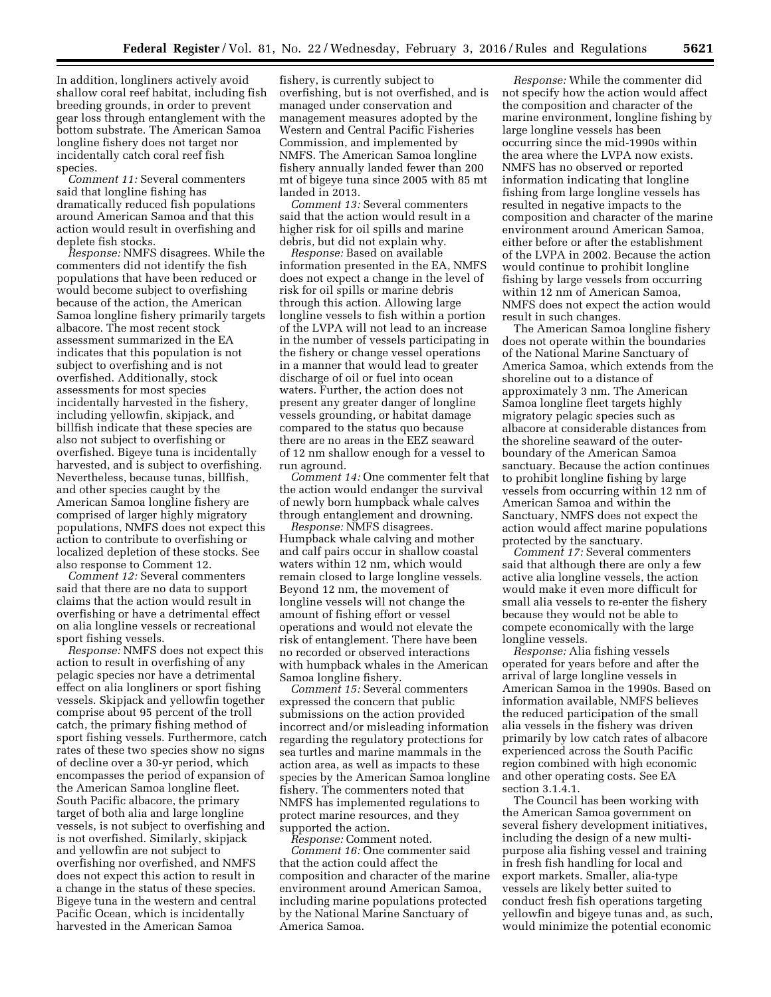In addition, longliners actively avoid shallow coral reef habitat, including fish breeding grounds, in order to prevent gear loss through entanglement with the bottom substrate. The American Samoa longline fishery does not target nor incidentally catch coral reef fish species.

*Comment 11:* Several commenters said that longline fishing has dramatically reduced fish populations around American Samoa and that this action would result in overfishing and deplete fish stocks.

*Response:* NMFS disagrees. While the commenters did not identify the fish populations that have been reduced or would become subject to overfishing because of the action, the American Samoa longline fishery primarily targets albacore. The most recent stock assessment summarized in the EA indicates that this population is not subject to overfishing and is not overfished. Additionally, stock assessments for most species incidentally harvested in the fishery, including yellowfin, skipjack, and billfish indicate that these species are also not subject to overfishing or overfished. Bigeye tuna is incidentally harvested, and is subject to overfishing. Nevertheless, because tunas, billfish, and other species caught by the American Samoa longline fishery are comprised of larger highly migratory populations, NMFS does not expect this action to contribute to overfishing or localized depletion of these stocks. See also response to Comment 12.

*Comment 12:* Several commenters said that there are no data to support claims that the action would result in overfishing or have a detrimental effect on alia longline vessels or recreational sport fishing vessels.

*Response:* NMFS does not expect this action to result in overfishing of any pelagic species nor have a detrimental effect on alia longliners or sport fishing vessels. Skipjack and yellowfin together comprise about 95 percent of the troll catch, the primary fishing method of sport fishing vessels. Furthermore, catch rates of these two species show no signs of decline over a 30-yr period, which encompasses the period of expansion of the American Samoa longline fleet. South Pacific albacore, the primary target of both alia and large longline vessels, is not subject to overfishing and is not overfished. Similarly, skipjack and yellowfin are not subject to overfishing nor overfished, and NMFS does not expect this action to result in a change in the status of these species. Bigeye tuna in the western and central Pacific Ocean, which is incidentally harvested in the American Samoa

fishery, is currently subject to overfishing, but is not overfished, and is managed under conservation and management measures adopted by the Western and Central Pacific Fisheries Commission, and implemented by NMFS. The American Samoa longline fishery annually landed fewer than 200 mt of bigeye tuna since 2005 with 85 mt landed in 2013.

*Comment 13:* Several commenters said that the action would result in a higher risk for oil spills and marine debris, but did not explain why.

*Response:* Based on available information presented in the EA, NMFS does not expect a change in the level of risk for oil spills or marine debris through this action. Allowing large longline vessels to fish within a portion of the LVPA will not lead to an increase in the number of vessels participating in the fishery or change vessel operations in a manner that would lead to greater discharge of oil or fuel into ocean waters. Further, the action does not present any greater danger of longline vessels grounding, or habitat damage compared to the status quo because there are no areas in the EEZ seaward of 12 nm shallow enough for a vessel to run aground.

*Comment 14:* One commenter felt that the action would endanger the survival of newly born humpback whale calves through entanglement and drowning.

*Response:* NMFS disagrees. Humpback whale calving and mother and calf pairs occur in shallow coastal waters within 12 nm, which would remain closed to large longline vessels. Beyond 12 nm, the movement of longline vessels will not change the amount of fishing effort or vessel operations and would not elevate the risk of entanglement. There have been no recorded or observed interactions with humpback whales in the American Samoa longline fishery.

*Comment 15:* Several commenters expressed the concern that public submissions on the action provided incorrect and/or misleading information regarding the regulatory protections for sea turtles and marine mammals in the action area, as well as impacts to these species by the American Samoa longline fishery. The commenters noted that NMFS has implemented regulations to protect marine resources, and they supported the action.

*Response:* Comment noted. *Comment 16:* One commenter said that the action could affect the composition and character of the marine environment around American Samoa, including marine populations protected by the National Marine Sanctuary of America Samoa.

*Response:* While the commenter did not specify how the action would affect the composition and character of the marine environment, longline fishing by large longline vessels has been occurring since the mid-1990s within the area where the LVPA now exists. NMFS has no observed or reported information indicating that longline fishing from large longline vessels has resulted in negative impacts to the composition and character of the marine environment around American Samoa, either before or after the establishment of the LVPA in 2002. Because the action would continue to prohibit longline fishing by large vessels from occurring within 12 nm of American Samoa, NMFS does not expect the action would result in such changes.

The American Samoa longline fishery does not operate within the boundaries of the National Marine Sanctuary of America Samoa, which extends from the shoreline out to a distance of approximately 3 nm. The American Samoa longline fleet targets highly migratory pelagic species such as albacore at considerable distances from the shoreline seaward of the outerboundary of the American Samoa sanctuary. Because the action continues to prohibit longline fishing by large vessels from occurring within 12 nm of American Samoa and within the Sanctuary, NMFS does not expect the action would affect marine populations protected by the sanctuary.

*Comment 17:* Several commenters said that although there are only a few active alia longline vessels, the action would make it even more difficult for small alia vessels to re-enter the fishery because they would not be able to compete economically with the large longline vessels.

*Response:* Alia fishing vessels operated for years before and after the arrival of large longline vessels in American Samoa in the 1990s. Based on information available, NMFS believes the reduced participation of the small alia vessels in the fishery was driven primarily by low catch rates of albacore experienced across the South Pacific region combined with high economic and other operating costs. See EA section 3.1.4.1.

The Council has been working with the American Samoa government on several fishery development initiatives, including the design of a new multipurpose alia fishing vessel and training in fresh fish handling for local and export markets. Smaller, alia-type vessels are likely better suited to conduct fresh fish operations targeting yellowfin and bigeye tunas and, as such, would minimize the potential economic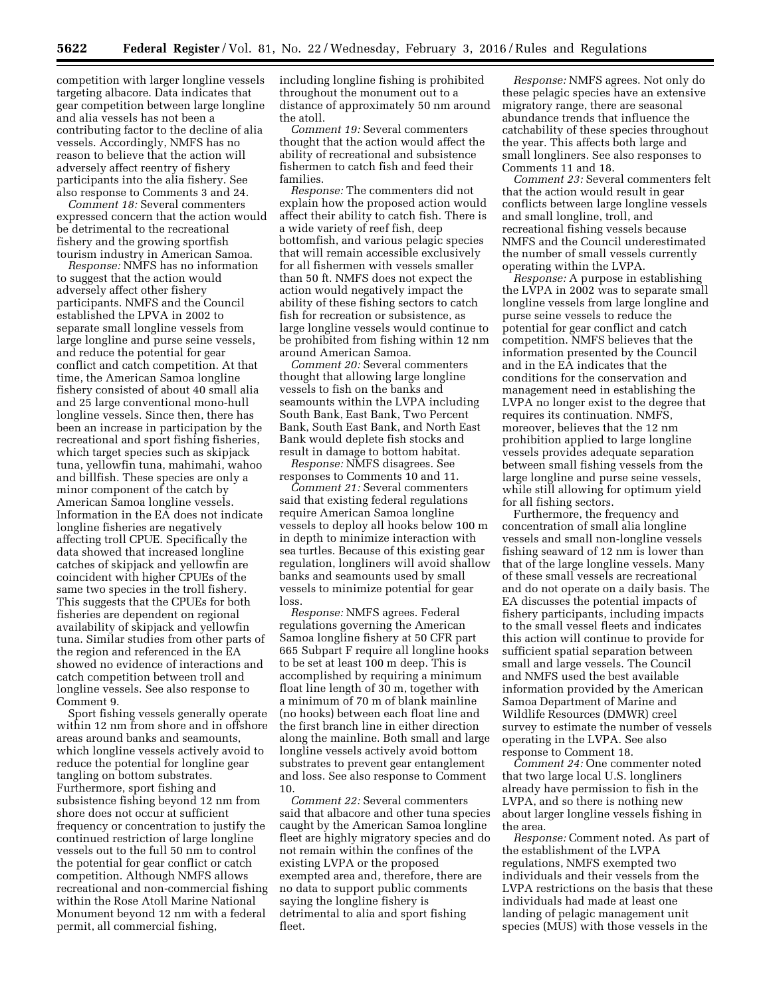competition with larger longline vessels targeting albacore. Data indicates that gear competition between large longline and alia vessels has not been a contributing factor to the decline of alia vessels. Accordingly, NMFS has no reason to believe that the action will adversely affect reentry of fishery participants into the alia fishery. See also response to Comments 3 and 24.

*Comment 18:* Several commenters expressed concern that the action would be detrimental to the recreational fishery and the growing sportfish tourism industry in American Samoa.

*Response:* NMFS has no information to suggest that the action would adversely affect other fishery participants. NMFS and the Council established the LPVA in 2002 to separate small longline vessels from large longline and purse seine vessels, and reduce the potential for gear conflict and catch competition. At that time, the American Samoa longline fishery consisted of about 40 small alia and 25 large conventional mono-hull longline vessels. Since then, there has been an increase in participation by the recreational and sport fishing fisheries, which target species such as skipjack tuna, yellowfin tuna, mahimahi, wahoo and billfish. These species are only a minor component of the catch by American Samoa longline vessels. Information in the EA does not indicate longline fisheries are negatively affecting troll CPUE. Specifically the data showed that increased longline catches of skipjack and yellowfin are coincident with higher CPUEs of the same two species in the troll fishery. This suggests that the CPUEs for both fisheries are dependent on regional availability of skipjack and yellowfin tuna. Similar studies from other parts of the region and referenced in the EA showed no evidence of interactions and catch competition between troll and longline vessels. See also response to Comment 9.

Sport fishing vessels generally operate within 12 nm from shore and in offshore areas around banks and seamounts, which longline vessels actively avoid to reduce the potential for longline gear tangling on bottom substrates. Furthermore, sport fishing and subsistence fishing beyond 12 nm from shore does not occur at sufficient frequency or concentration to justify the continued restriction of large longline vessels out to the full 50 nm to control the potential for gear conflict or catch competition. Although NMFS allows recreational and non-commercial fishing within the Rose Atoll Marine National Monument beyond 12 nm with a federal permit, all commercial fishing,

including longline fishing is prohibited throughout the monument out to a distance of approximately 50 nm around the atoll.

*Comment 19:* Several commenters thought that the action would affect the ability of recreational and subsistence fishermen to catch fish and feed their families.

*Response:* The commenters did not explain how the proposed action would affect their ability to catch fish. There is a wide variety of reef fish, deep bottomfish, and various pelagic species that will remain accessible exclusively for all fishermen with vessels smaller than 50 ft. NMFS does not expect the action would negatively impact the ability of these fishing sectors to catch fish for recreation or subsistence, as large longline vessels would continue to be prohibited from fishing within 12 nm around American Samoa.

*Comment 20:* Several commenters thought that allowing large longline vessels to fish on the banks and seamounts within the LVPA including South Bank, East Bank, Two Percent Bank, South East Bank, and North East Bank would deplete fish stocks and result in damage to bottom habitat.

*Response:* NMFS disagrees. See responses to Comments 10 and 11.

*Comment 21:* Several commenters said that existing federal regulations require American Samoa longline vessels to deploy all hooks below 100 m in depth to minimize interaction with sea turtles. Because of this existing gear regulation, longliners will avoid shallow banks and seamounts used by small vessels to minimize potential for gear loss.

*Response:* NMFS agrees. Federal regulations governing the American Samoa longline fishery at 50 CFR part 665 Subpart F require all longline hooks to be set at least 100 m deep. This is accomplished by requiring a minimum float line length of 30 m, together with a minimum of 70 m of blank mainline (no hooks) between each float line and the first branch line in either direction along the mainline. Both small and large longline vessels actively avoid bottom substrates to prevent gear entanglement and loss. See also response to Comment 10.

*Comment 22:* Several commenters said that albacore and other tuna species caught by the American Samoa longline fleet are highly migratory species and do not remain within the confines of the existing LVPA or the proposed exempted area and, therefore, there are no data to support public comments saying the longline fishery is detrimental to alia and sport fishing fleet.

*Response:* NMFS agrees. Not only do these pelagic species have an extensive migratory range, there are seasonal abundance trends that influence the catchability of these species throughout the year. This affects both large and small longliners. See also responses to Comments 11 and 18.

*Comment 23:* Several commenters felt that the action would result in gear conflicts between large longline vessels and small longline, troll, and recreational fishing vessels because NMFS and the Council underestimated the number of small vessels currently operating within the LVPA.

*Response:* A purpose in establishing the LVPA in 2002 was to separate small longline vessels from large longline and purse seine vessels to reduce the potential for gear conflict and catch competition. NMFS believes that the information presented by the Council and in the EA indicates that the conditions for the conservation and management need in establishing the LVPA no longer exist to the degree that requires its continuation. NMFS, moreover, believes that the 12 nm prohibition applied to large longline vessels provides adequate separation between small fishing vessels from the large longline and purse seine vessels, while still allowing for optimum yield for all fishing sectors.

Furthermore, the frequency and concentration of small alia longline vessels and small non-longline vessels fishing seaward of 12 nm is lower than that of the large longline vessels. Many of these small vessels are recreational and do not operate on a daily basis. The EA discusses the potential impacts of fishery participants, including impacts to the small vessel fleets and indicates this action will continue to provide for sufficient spatial separation between small and large vessels. The Council and NMFS used the best available information provided by the American Samoa Department of Marine and Wildlife Resources (DMWR) creel survey to estimate the number of vessels operating in the LVPA. See also response to Comment 18.

*Comment 24:* One commenter noted that two large local U.S. longliners already have permission to fish in the LVPA, and so there is nothing new about larger longline vessels fishing in the area.

*Response:* Comment noted. As part of the establishment of the LVPA regulations, NMFS exempted two individuals and their vessels from the LVPA restrictions on the basis that these individuals had made at least one landing of pelagic management unit species (MUS) with those vessels in the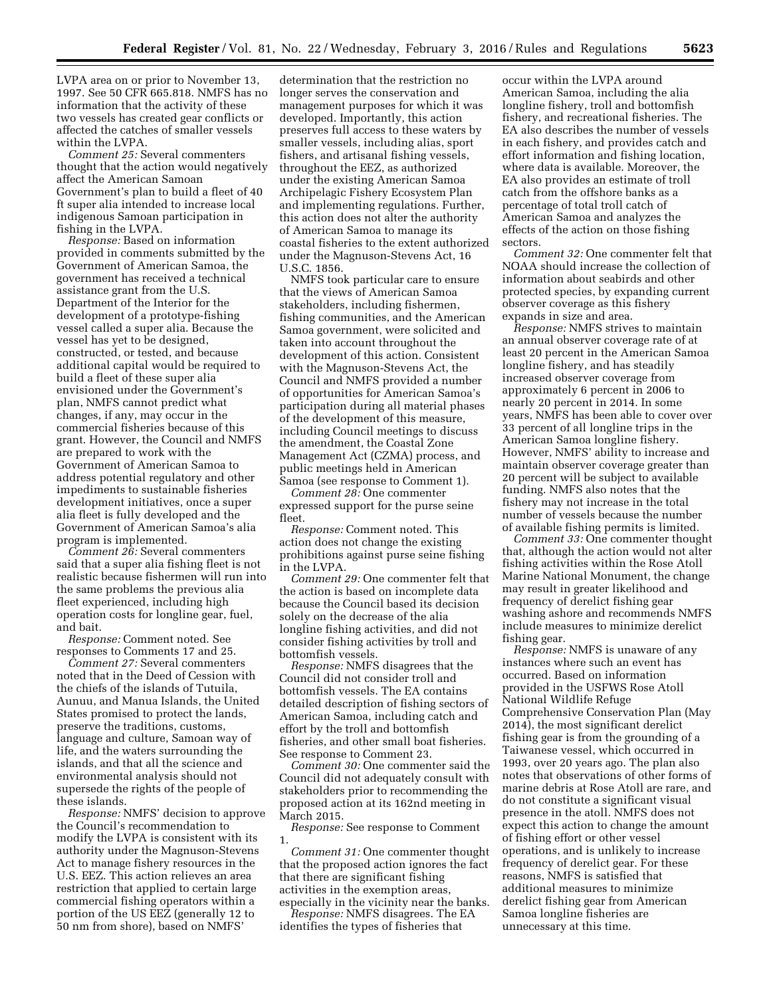LVPA area on or prior to November 13, 1997. See 50 CFR 665.818. NMFS has no information that the activity of these two vessels has created gear conflicts or affected the catches of smaller vessels within the LVPA.

*Comment 25:* Several commenters thought that the action would negatively affect the American Samoan Government's plan to build a fleet of 40 ft super alia intended to increase local indigenous Samoan participation in fishing in the LVPA.

*Response:* Based on information provided in comments submitted by the Government of American Samoa, the government has received a technical assistance grant from the U.S. Department of the Interior for the development of a prototype-fishing vessel called a super alia. Because the vessel has yet to be designed, constructed, or tested, and because additional capital would be required to build a fleet of these super alia envisioned under the Government's plan, NMFS cannot predict what changes, if any, may occur in the commercial fisheries because of this grant. However, the Council and NMFS are prepared to work with the Government of American Samoa to address potential regulatory and other impediments to sustainable fisheries development initiatives, once a super alia fleet is fully developed and the Government of American Samoa's alia program is implemented.

*Comment 26:* Several commenters said that a super alia fishing fleet is not realistic because fishermen will run into the same problems the previous alia fleet experienced, including high operation costs for longline gear, fuel, and bait.

*Response:* Comment noted. See responses to Comments 17 and 25.

*Comment 27:* Several commenters noted that in the Deed of Cession with the chiefs of the islands of Tutuila, Aunuu, and Manua Islands, the United States promised to protect the lands, preserve the traditions, customs, language and culture, Samoan way of life, and the waters surrounding the islands, and that all the science and environmental analysis should not supersede the rights of the people of these islands.

*Response:* NMFS' decision to approve the Council's recommendation to modify the LVPA is consistent with its authority under the Magnuson-Stevens Act to manage fishery resources in the U.S. EEZ. This action relieves an area restriction that applied to certain large commercial fishing operators within a portion of the US EEZ (generally 12 to 50 nm from shore), based on NMFS'

determination that the restriction no longer serves the conservation and management purposes for which it was developed. Importantly, this action preserves full access to these waters by smaller vessels, including alias, sport fishers, and artisanal fishing vessels, throughout the EEZ, as authorized under the existing American Samoa Archipelagic Fishery Ecosystem Plan and implementing regulations. Further, this action does not alter the authority of American Samoa to manage its coastal fisheries to the extent authorized under the Magnuson-Stevens Act, 16 U.S.C. 1856.

NMFS took particular care to ensure that the views of American Samoa stakeholders, including fishermen, fishing communities, and the American Samoa government, were solicited and taken into account throughout the development of this action. Consistent with the Magnuson-Stevens Act, the Council and NMFS provided a number of opportunities for American Samoa's participation during all material phases of the development of this measure, including Council meetings to discuss the amendment, the Coastal Zone Management Act (CZMA) process, and public meetings held in American Samoa (see response to Comment 1).

*Comment 28:* One commenter expressed support for the purse seine fleet.

*Response:* Comment noted. This action does not change the existing prohibitions against purse seine fishing in the LVPA.

*Comment 29:* One commenter felt that the action is based on incomplete data because the Council based its decision solely on the decrease of the alia longline fishing activities, and did not consider fishing activities by troll and bottomfish vessels.

*Response:* NMFS disagrees that the Council did not consider troll and bottomfish vessels. The EA contains detailed description of fishing sectors of American Samoa, including catch and effort by the troll and bottomfish fisheries, and other small boat fisheries. See response to Comment 23.

*Comment 30:* One commenter said the Council did not adequately consult with stakeholders prior to recommending the proposed action at its 162nd meeting in March 2015.

*Response:* See response to Comment 1.

*Comment 31:* One commenter thought that the proposed action ignores the fact that there are significant fishing activities in the exemption areas, especially in the vicinity near the banks.

*Response:* NMFS disagrees. The EA identifies the types of fisheries that

occur within the LVPA around American Samoa, including the alia longline fishery, troll and bottomfish fishery, and recreational fisheries. The EA also describes the number of vessels in each fishery, and provides catch and effort information and fishing location, where data is available. Moreover, the EA also provides an estimate of troll catch from the offshore banks as a percentage of total troll catch of American Samoa and analyzes the effects of the action on those fishing sectors.

*Comment 32:* One commenter felt that NOAA should increase the collection of information about seabirds and other protected species, by expanding current observer coverage as this fishery expands in size and area.

*Response:* NMFS strives to maintain an annual observer coverage rate of at least 20 percent in the American Samoa longline fishery, and has steadily increased observer coverage from approximately 6 percent in 2006 to nearly 20 percent in 2014. In some years, NMFS has been able to cover over 33 percent of all longline trips in the American Samoa longline fishery. However, NMFS' ability to increase and maintain observer coverage greater than 20 percent will be subject to available funding. NMFS also notes that the fishery may not increase in the total number of vessels because the number of available fishing permits is limited.

*Comment 33:* One commenter thought that, although the action would not alter fishing activities within the Rose Atoll Marine National Monument, the change may result in greater likelihood and frequency of derelict fishing gear washing ashore and recommends NMFS include measures to minimize derelict fishing gear.

*Response:* NMFS is unaware of any instances where such an event has occurred. Based on information provided in the USFWS Rose Atoll National Wildlife Refuge Comprehensive Conservation Plan (May 2014), the most significant derelict fishing gear is from the grounding of a Taiwanese vessel, which occurred in 1993, over 20 years ago. The plan also notes that observations of other forms of marine debris at Rose Atoll are rare, and do not constitute a significant visual presence in the atoll. NMFS does not expect this action to change the amount of fishing effort or other vessel operations, and is unlikely to increase frequency of derelict gear. For these reasons, NMFS is satisfied that additional measures to minimize derelict fishing gear from American Samoa longline fisheries are unnecessary at this time.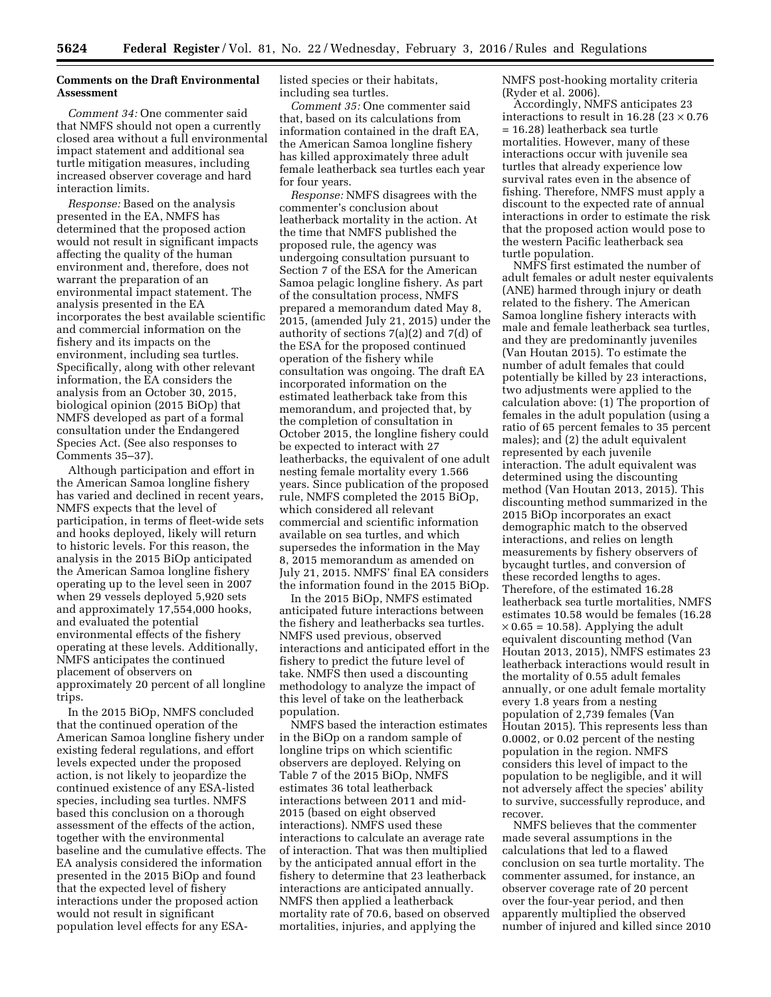# **Comments on the Draft Environmental Assessment**

*Comment 34:* One commenter said that NMFS should not open a currently closed area without a full environmental impact statement and additional sea turtle mitigation measures, including increased observer coverage and hard interaction limits.

*Response:* Based on the analysis presented in the EA, NMFS has determined that the proposed action would not result in significant impacts affecting the quality of the human environment and, therefore, does not warrant the preparation of an environmental impact statement. The analysis presented in the EA incorporates the best available scientific and commercial information on the fishery and its impacts on the environment, including sea turtles. Specifically, along with other relevant information, the EA considers the analysis from an October 30, 2015, biological opinion (2015 BiOp) that NMFS developed as part of a formal consultation under the Endangered Species Act. (See also responses to Comments 35–37).

Although participation and effort in the American Samoa longline fishery has varied and declined in recent years, NMFS expects that the level of participation, in terms of fleet-wide sets and hooks deployed, likely will return to historic levels. For this reason, the analysis in the 2015 BiOp anticipated the American Samoa longline fishery operating up to the level seen in 2007 when 29 vessels deployed 5,920 sets and approximately 17,554,000 hooks, and evaluated the potential environmental effects of the fishery operating at these levels. Additionally, NMFS anticipates the continued placement of observers on approximately 20 percent of all longline trips.

In the 2015 BiOp, NMFS concluded that the continued operation of the American Samoa longline fishery under existing federal regulations, and effort levels expected under the proposed action, is not likely to jeopardize the continued existence of any ESA-listed species, including sea turtles. NMFS based this conclusion on a thorough assessment of the effects of the action, together with the environmental baseline and the cumulative effects. The EA analysis considered the information presented in the 2015 BiOp and found that the expected level of fishery interactions under the proposed action would not result in significant population level effects for any ESA-

listed species or their habitats, including sea turtles.

*Comment 35:* One commenter said that, based on its calculations from information contained in the draft EA, the American Samoa longline fishery has killed approximately three adult female leatherback sea turtles each year for four years.

*Response:* NMFS disagrees with the commenter's conclusion about leatherback mortality in the action. At the time that NMFS published the proposed rule, the agency was undergoing consultation pursuant to Section 7 of the ESA for the American Samoa pelagic longline fishery. As part of the consultation process, NMFS prepared a memorandum dated May 8, 2015, (amended July 21, 2015) under the authority of sections 7(a)(2) and 7(d) of the ESA for the proposed continued operation of the fishery while consultation was ongoing. The draft EA incorporated information on the estimated leatherback take from this memorandum, and projected that, by the completion of consultation in October 2015, the longline fishery could be expected to interact with 27 leatherbacks, the equivalent of one adult nesting female mortality every 1.566 years. Since publication of the proposed rule, NMFS completed the 2015 BiOp, which considered all relevant commercial and scientific information available on sea turtles, and which supersedes the information in the May 8, 2015 memorandum as amended on July 21, 2015. NMFS' final EA considers the information found in the 2015 BiOp.

In the 2015 BiOp, NMFS estimated anticipated future interactions between the fishery and leatherbacks sea turtles. NMFS used previous, observed interactions and anticipated effort in the fishery to predict the future level of take. NMFS then used a discounting methodology to analyze the impact of this level of take on the leatherback population.

NMFS based the interaction estimates in the BiOp on a random sample of longline trips on which scientific observers are deployed. Relying on Table 7 of the 2015 BiOp, NMFS estimates 36 total leatherback interactions between 2011 and mid-2015 (based on eight observed interactions). NMFS used these interactions to calculate an average rate of interaction. That was then multiplied by the anticipated annual effort in the fishery to determine that 23 leatherback interactions are anticipated annually. NMFS then applied a leatherback mortality rate of 70.6, based on observed mortalities, injuries, and applying the

NMFS post-hooking mortality criteria (Ryder et al. 2006).

Accordingly, NMFS anticipates 23 interactions to result in 16.28 (23  $\times$  0.76 = 16.28) leatherback sea turtle mortalities. However, many of these interactions occur with juvenile sea turtles that already experience low survival rates even in the absence of fishing. Therefore, NMFS must apply a discount to the expected rate of annual interactions in order to estimate the risk that the proposed action would pose to the western Pacific leatherback sea turtle population.

NMFS first estimated the number of adult females or adult nester equivalents (ANE) harmed through injury or death related to the fishery. The American Samoa longline fishery interacts with male and female leatherback sea turtles, and they are predominantly juveniles (Van Houtan 2015). To estimate the number of adult females that could potentially be killed by 23 interactions, two adjustments were applied to the calculation above: (1) The proportion of females in the adult population (using a ratio of 65 percent females to 35 percent males); and (2) the adult equivalent represented by each juvenile interaction. The adult equivalent was determined using the discounting method (Van Houtan 2013, 2015). This discounting method summarized in the 2015 BiOp incorporates an exact demographic match to the observed interactions, and relies on length measurements by fishery observers of bycaught turtles, and conversion of these recorded lengths to ages. Therefore, of the estimated 16.28 leatherback sea turtle mortalities, NMFS estimates 10.58 would be females (16.28  $\times$  0.65 = 10.58). Applying the adult equivalent discounting method (Van Houtan 2013, 2015), NMFS estimates 23 leatherback interactions would result in the mortality of 0.55 adult females annually, or one adult female mortality every 1.8 years from a nesting population of 2,739 females (Van Houtan 2015). This represents less than 0.0002, or 0.02 percent of the nesting population in the region. NMFS considers this level of impact to the population to be negligible, and it will not adversely affect the species' ability to survive, successfully reproduce, and recover.

NMFS believes that the commenter made several assumptions in the calculations that led to a flawed conclusion on sea turtle mortality. The commenter assumed, for instance, an observer coverage rate of 20 percent over the four-year period, and then apparently multiplied the observed number of injured and killed since 2010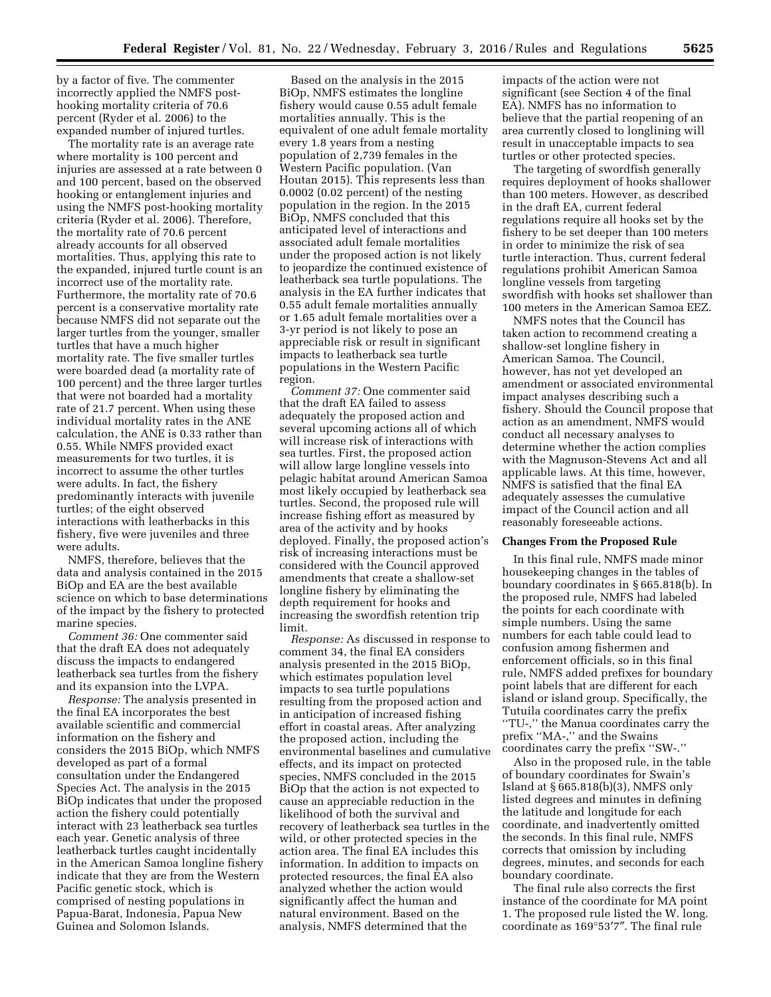by a factor of five. The commenter incorrectly applied the NMFS posthooking mortality criteria of 70.6 percent (Ryder et al. 2006) to the expanded number of injured turtles.

The mortality rate is an average rate where mortality is 100 percent and injuries are assessed at a rate between 0 and 100 percent, based on the observed hooking or entanglement injuries and using the NMFS post-hooking mortality criteria (Ryder et al. 2006). Therefore, the mortality rate of 70.6 percent already accounts for all observed mortalities. Thus, applying this rate to the expanded, injured turtle count is an incorrect use of the mortality rate. Furthermore, the mortality rate of 70.6 percent is a conservative mortality rate because NMFS did not separate out the larger turtles from the younger, smaller turtles that have a much higher mortality rate. The five smaller turtles were boarded dead (a mortality rate of 100 percent) and the three larger turtles that were not boarded had a mortality rate of 21.7 percent. When using these individual mortality rates in the ANE calculation, the ANE is 0.33 rather than 0.55. While NMFS provided exact measurements for two turtles, it is incorrect to assume the other turtles were adults. In fact, the fishery predominantly interacts with juvenile turtles; of the eight observed interactions with leatherbacks in this fishery, five were juveniles and three were adults.

NMFS, therefore, believes that the data and analysis contained in the 2015 BiOp and EA are the best available science on which to base determinations of the impact by the fishery to protected marine species.

*Comment 36:* One commenter said that the draft EA does not adequately discuss the impacts to endangered leatherback sea turtles from the fishery and its expansion into the LVPA.

*Response:* The analysis presented in the final EA incorporates the best available scientific and commercial information on the fishery and considers the 2015 BiOp, which NMFS developed as part of a formal consultation under the Endangered Species Act. The analysis in the 2015 BiOp indicates that under the proposed action the fishery could potentially interact with 23 leatherback sea turtles each year. Genetic analysis of three leatherback turtles caught incidentally in the American Samoa longline fishery indicate that they are from the Western Pacific genetic stock, which is comprised of nesting populations in Papua-Barat, Indonesia, Papua New Guinea and Solomon Islands.

Based on the analysis in the 2015 BiOp, NMFS estimates the longline fishery would cause 0.55 adult female mortalities annually. This is the equivalent of one adult female mortality every 1.8 years from a nesting population of 2,739 females in the Western Pacific population. (Van Houtan 2015). This represents less than 0.0002 (0.02 percent) of the nesting population in the region. In the 2015 BiOp, NMFS concluded that this anticipated level of interactions and associated adult female mortalities under the proposed action is not likely to jeopardize the continued existence of leatherback sea turtle populations. The analysis in the EA further indicates that 0.55 adult female mortalities annually or 1.65 adult female mortalities over a 3-yr period is not likely to pose an appreciable risk or result in significant impacts to leatherback sea turtle populations in the Western Pacific region.

*Comment 37:* One commenter said that the draft EA failed to assess adequately the proposed action and several upcoming actions all of which will increase risk of interactions with sea turtles. First, the proposed action will allow large longline vessels into pelagic habitat around American Samoa most likely occupied by leatherback sea turtles. Second, the proposed rule will increase fishing effort as measured by area of the activity and by hooks deployed. Finally, the proposed action's risk of increasing interactions must be considered with the Council approved amendments that create a shallow-set longline fishery by eliminating the depth requirement for hooks and increasing the swordfish retention trip limit.

*Response:* As discussed in response to comment 34, the final EA considers analysis presented in the 2015 BiOp, which estimates population level impacts to sea turtle populations resulting from the proposed action and in anticipation of increased fishing effort in coastal areas. After analyzing the proposed action, including the environmental baselines and cumulative effects, and its impact on protected species, NMFS concluded in the 2015 BiOp that the action is not expected to cause an appreciable reduction in the likelihood of both the survival and recovery of leatherback sea turtles in the wild, or other protected species in the action area. The final EA includes this information. In addition to impacts on protected resources, the final EA also analyzed whether the action would significantly affect the human and natural environment. Based on the analysis, NMFS determined that the

impacts of the action were not significant (see Section 4 of the final EA). NMFS has no information to believe that the partial reopening of an area currently closed to longlining will result in unacceptable impacts to sea turtles or other protected species.

The targeting of swordfish generally requires deployment of hooks shallower than 100 meters. However, as described in the draft EA, current federal regulations require all hooks set by the fishery to be set deeper than 100 meters in order to minimize the risk of sea turtle interaction. Thus, current federal regulations prohibit American Samoa longline vessels from targeting swordfish with hooks set shallower than 100 meters in the American Samoa EEZ.

NMFS notes that the Council has taken action to recommend creating a shallow-set longline fishery in American Samoa. The Council, however, has not yet developed an amendment or associated environmental impact analyses describing such a fishery. Should the Council propose that action as an amendment, NMFS would conduct all necessary analyses to determine whether the action complies with the Magnuson-Stevens Act and all applicable laws. At this time, however, NMFS is satisfied that the final EA adequately assesses the cumulative impact of the Council action and all reasonably foreseeable actions.

### **Changes From the Proposed Rule**

In this final rule, NMFS made minor housekeeping changes in the tables of boundary coordinates in § 665.818(b). In the proposed rule, NMFS had labeled the points for each coordinate with simple numbers. Using the same numbers for each table could lead to confusion among fishermen and enforcement officials, so in this final rule, NMFS added prefixes for boundary point labels that are different for each island or island group. Specifically, the Tutuila coordinates carry the prefix ''TU-,'' the Manua coordinates carry the prefix ''MA-,'' and the Swains coordinates carry the prefix ''SW-.''

Also in the proposed rule, in the table of boundary coordinates for Swain's Island at § 665.818(b)(3), NMFS only listed degrees and minutes in defining the latitude and longitude for each coordinate, and inadvertently omitted the seconds. In this final rule, NMFS corrects that omission by including degrees, minutes, and seconds for each boundary coordinate.

The final rule also corrects the first instance of the coordinate for MA point 1. The proposed rule listed the W. long. coordinate as 169°53′7″. The final rule